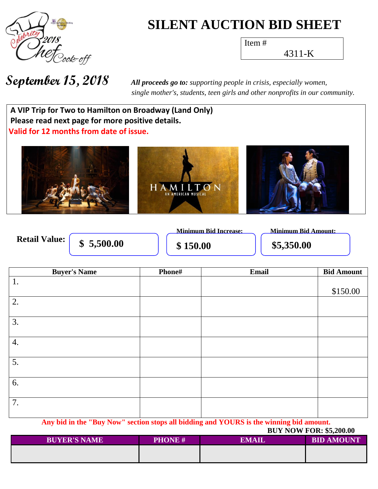

# **SILENT AUCTION BID SHEET**

Item #

4311-K

**September 15, 2018** *All proceeds go to: supporting people in crisis, especially women, single mother's, students, teen girls and other nonprofits in our community.*

**Wh a t h A VIP Trip for Two to Hamilton on Broadway (Land Only) Please read next page for more positive details. Valid for 12 months from date of issue.**



**Retail Value:** 

**\$** 5,500.00 **\$150.00 \$5,350.00** 

**Minimum Bid Increase: Minimum Bid Amount:**

| 1.<br>\$150.00<br>$\overline{2}$ . | <b>Bid Amount</b> |
|------------------------------------|-------------------|
|                                    |                   |
|                                    |                   |
|                                    |                   |
|                                    |                   |
| $\overline{3}$ .                   |                   |
|                                    |                   |
| 4.                                 |                   |
|                                    |                   |
| 5.                                 |                   |
|                                    |                   |
| 6.                                 |                   |
|                                    |                   |
| 7.                                 |                   |
|                                    |                   |

**Any bid in the "Buy Now" section stops all bidding and YOURS is the winning bid amount. BUY NOW FOR:**  $$5,200.00$ 

|                     |               | <b>DULIVUM FUN.</b> $93,200.00$ |                   |  |
|---------------------|---------------|---------------------------------|-------------------|--|
| <b>BUYER'S NAME</b> | <b>PHONE#</b> | EMAIL                           | <b>BID AMOUNT</b> |  |
|                     |               |                                 |                   |  |